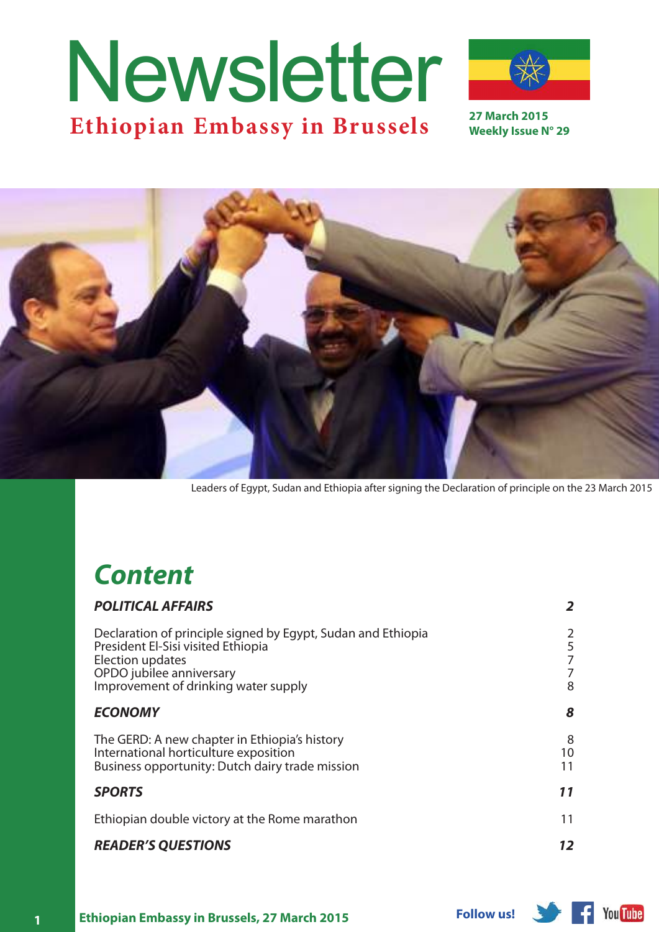# Ethiopian Embassy in Brussels <sup>27 March 2015</sup> Newsletter



**Weekly Issue N° 29**



Leaders of Egypt, Sudan and Ethiopia after signing the Declaration of principle on the 23 March 2015

## *Content*

| <b>POLITICAL AFFAIRS</b>                                                                                                                                                                   | $\overline{2}$        |
|--------------------------------------------------------------------------------------------------------------------------------------------------------------------------------------------|-----------------------|
| Declaration of principle signed by Egypt, Sudan and Ethiopia<br>President El-Sisi visited Ethiopia<br>Election updates<br>OPDO jubilee anniversary<br>Improvement of drinking water supply | 2<br>5<br>7<br>7<br>8 |
| <b>ECONOMY</b>                                                                                                                                                                             | 8                     |
| The GERD: A new chapter in Ethiopia's history<br>International horticulture exposition<br>Business opportunity: Dutch dairy trade mission                                                  | 8<br>10<br>11         |
| <b>SPORTS</b>                                                                                                                                                                              | 11                    |
| Ethiopian double victory at the Rome marathon                                                                                                                                              | 11                    |
| <b>READER'S QUESTIONS</b>                                                                                                                                                                  | 12                    |

**You Tube**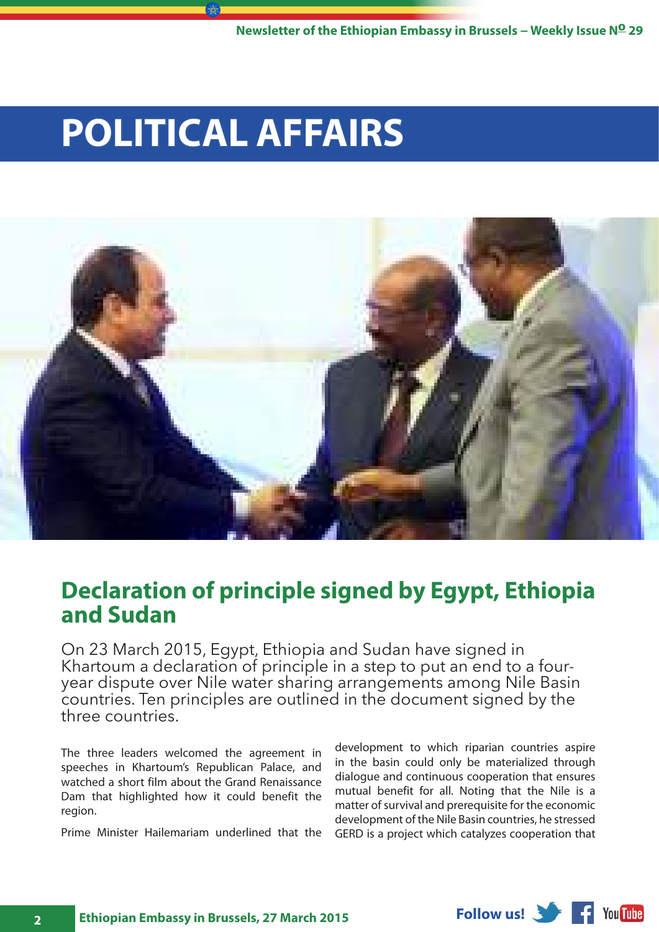## <span id="page-1-0"></span>**POLITICAL AFFAIRS**



## **Declaration of principle signed by Egypt, Ethiopia and Sudan**

On 23 March 2015, Egypt, Ethiopia and Sudan have signed in Khartoum a declaration of principle in a step to put an end to a fouryear dispute over Nile water sharing arrangements among Nile Basin countries. Ten principles are outlined in the document signed by the three countries.

The three leaders welcomed the agreement in speeches in Khartoum's Republican Palace, and watched a short film about the Grand Renaissance Dam that highlighted how it could benefit the region.

Prime Minister Hailemariam underlined that the

development to which riparian countries aspire in the basin could only be materialized through dialogue and continuous cooperation that ensures mutual benefit for all. Noting that the Nile is a matter of survival and prerequisite for the economic development of the Nile Basin countries, he stressed GERD is a project which catalyzes cooperation that

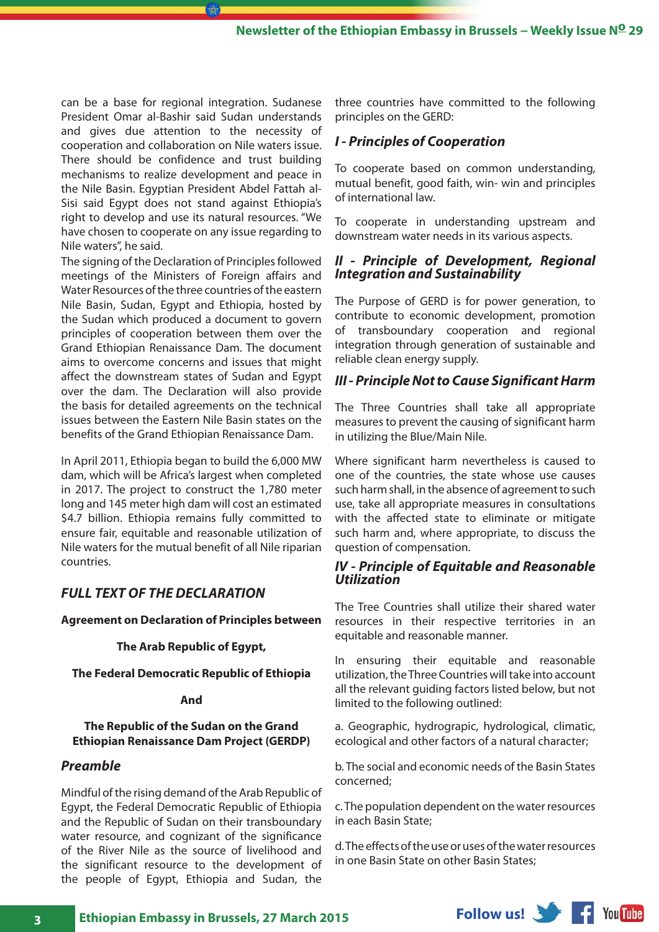can be a base for regional integration. Sudanese President Omar al-Bashir said Sudan understands and gives due attention to the necessity of cooperation and collaboration on Nile waters issue. There should be confidence and trust building mechanisms to realize development and peace in the Nile Basin. Egyptian President Abdel Fattah al-Sisi said Egypt does not stand against Ethiopia's right to develop and use its natural resources. "We have chosen to cooperate on any issue regarding to Nile waters", he said.

 $(\mathbb{R})$ 

The signing of the Declaration of Principles followed meetings of the Ministers of Foreign affairs and Water Resources of the three countries of the eastern Nile Basin, Sudan, Egypt and Ethiopia, hosted by the Sudan which produced a document to govern principles of cooperation between them over the Grand Ethiopian Renaissance Dam. The document aims to overcome concerns and issues that might affect the downstream states of Sudan and Egypt over the dam. The Declaration will also provide the basis for detailed agreements on the technical issues between the Eastern Nile Basin states on the benefits of the Grand Ethiopian Renaissance Dam.

In April 2011, Ethiopia began to build the 6,000 MW dam, which will be Africa's largest when completed in 2017. The project to construct the 1,780 meter long and 145 meter high dam will cost an estimated \$4.7 billion. Ethiopia remains fully committed to ensure fair, equitable and reasonable utilization of Nile waters for the mutual benefit of all Nile riparian countries.

#### *FULL TEXT OF THE DECLARATION*

**Agreement on Declaration of Principles between**

#### **The Arab Republic of Egypt,**

#### **The Federal Democratic Republic of Ethiopia**

#### **And**

#### **The Republic of the Sudan on the Grand Ethiopian Renaissance Dam Project (GERDP)**

#### *Preamble*

Mindful of the rising demand of the Arab Republic of Egypt, the Federal Democratic Republic of Ethiopia and the Republic of Sudan on their transboundary water resource, and cognizant of the significance of the River Nile as the source of livelihood and the significant resource to the development of the people of Egypt, Ethiopia and Sudan, the

three countries have committed to the following principles on the GERD:

#### *I - Principles of Cooperation*

To cooperate based on common understanding, mutual benefit, good faith, win- win and principles of international law.

To cooperate in understanding upstream and downstream water needs in its various aspects.

#### *II - Principle of Development, Regional Integration and Sustainability*

The Purpose of GERD is for power generation, to contribute to economic development, promotion of transboundary cooperation and regional integration through generation of sustainable and reliable clean energy supply.

#### *III - Principle Not to Cause Significant Harm*

The Three Countries shall take all appropriate measures to prevent the causing of significant harm in utilizing the Blue/Main Nile.

Where significant harm nevertheless is caused to one of the countries, the state whose use causes such harm shall, in the absence of agreement to such use, take all appropriate measures in consultations with the affected state to eliminate or mitigate such harm and, where appropriate, to discuss the question of compensation.

#### *IV - Principle of Equitable and Reasonable Utilization*

The Tree Countries shall utilize their shared water resources in their respective territories in an equitable and reasonable manner.

In ensuring their equitable and reasonable utilization, the Three Countries will take into account all the relevant guiding factors listed below, but not limited to the following outlined:

a. Geographic, hydrograpic, hydrological, climatic, ecological and other factors of a natural character;

b. The social and economic needs of the Basin States concerned;

c. The population dependent on the water resources in each Basin State;

d. The effects of the use or uses of the water resources in one Basin State on other Basin States;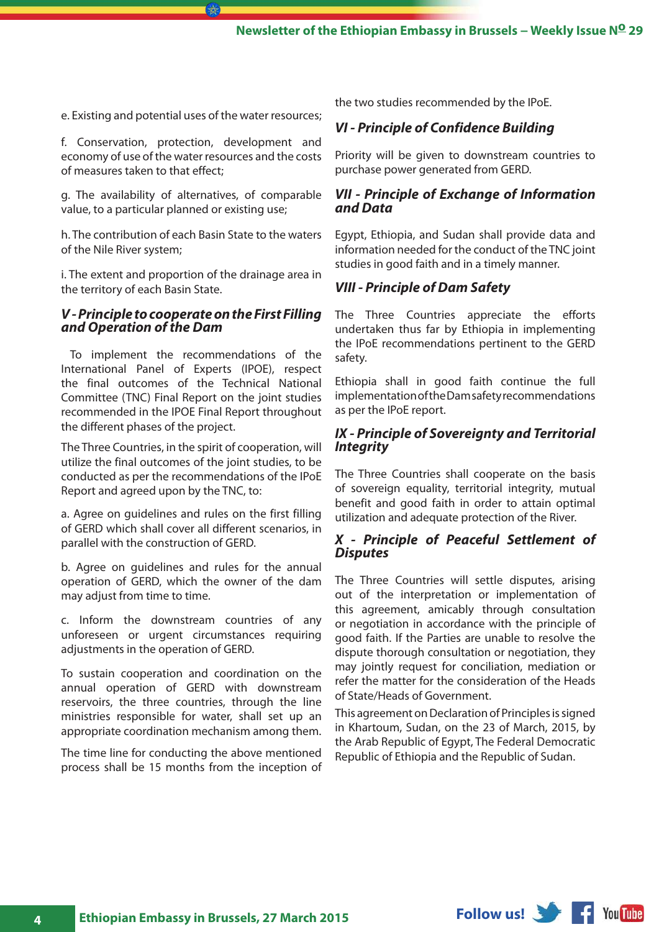e. Existing and potential uses of the water resources;

 $(\mathbb{R})$ 

f. Conservation, protection, development and economy of use of the water resources and the costs of measures taken to that effect;

g. The availability of alternatives, of comparable value, to a particular planned or existing use;

h. The contribution of each Basin State to the waters of the Nile River system;

i. The extent and proportion of the drainage area in the territory of each Basin State.

#### *V - Principle to cooperate on the First Filling and Operation of the Dam*

 To implement the recommendations of the International Panel of Experts (IPOE), respect the final outcomes of the Technical National Committee (TNC) Final Report on the joint studies recommended in the IPOE Final Report throughout the different phases of the project.

The Three Countries, in the spirit of cooperation, will utilize the final outcomes of the joint studies, to be conducted as per the recommendations of the IPoE Report and agreed upon by the TNC, to:

a. Agree on guidelines and rules on the first filling of GERD which shall cover all different scenarios, in parallel with the construction of GERD.

b. Agree on guidelines and rules for the annual operation of GERD, which the owner of the dam may adjust from time to time.

c. Inform the downstream countries of any unforeseen or urgent circumstances requiring adjustments in the operation of GERD.

To sustain cooperation and coordination on the annual operation of GERD with downstream reservoirs, the three countries, through the line ministries responsible for water, shall set up an appropriate coordination mechanism among them.

The time line for conducting the above mentioned process shall be 15 months from the inception of

the two studies recommended by the IPoE.

#### *VI - Principle of Confidence Building*

Priority will be given to downstream countries to purchase power generated from GERD.

#### *VII - Principle of Exchange of Information and Data*

Egypt, Ethiopia, and Sudan shall provide data and information needed for the conduct of the TNC joint studies in good faith and in a timely manner.

#### *VIII - Principle of Dam Safety*

The Three Countries appreciate the efforts undertaken thus far by Ethiopia in implementing the IPoE recommendations pertinent to the GERD safety.

Ethiopia shall in good faith continue the full implementation of the Dam safety recommendations as per the IPoE report.

#### *IX - Principle of Sovereignty and Territorial Integrity*

The Three Countries shall cooperate on the basis of sovereign equality, territorial integrity, mutual benefit and good faith in order to attain optimal utilization and adequate protection of the River.

#### *X - Principle of Peaceful Settlement of Disputes*

The Three Countries will settle disputes, arising out of the interpretation or implementation of this agreement, amicably through consultation or negotiation in accordance with the principle of good faith. If the Parties are unable to resolve the dispute thorough consultation or negotiation, they may jointly request for conciliation, mediation or refer the matter for the consideration of the Heads of State/Heads of Government.

This agreement on Declaration of Principles is signed in Khartoum, Sudan, on the 23 of March, 2015, by the Arab Republic of Egypt, The Federal Democratic Republic of Ethiopia and the Republic of Sudan.

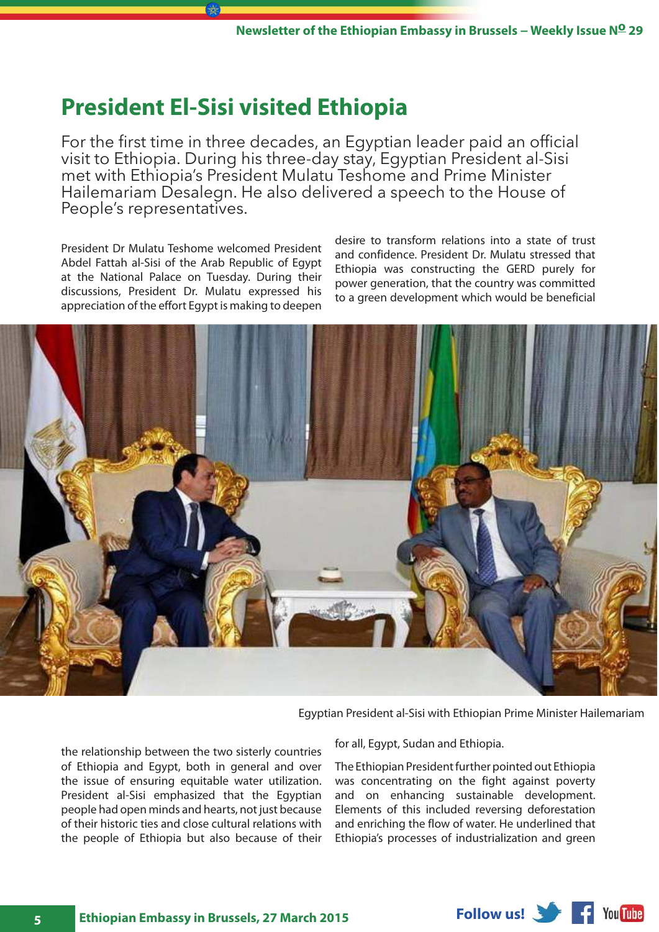### <span id="page-4-0"></span>**President El-Sisi visited Ethiopia**

For the first time in three decades, an Egyptian leader paid an official visit to Ethiopia. During his three-day stay, Egyptian President al-Sisi met with Ethiopia's President Mulatu Teshome and Prime Minister Hailemariam Desalegn. He also delivered a speech to the House of People's representatives.

President Dr Mulatu Teshome welcomed President Abdel Fattah al-Sisi of the Arab Republic of Egypt at the National Palace on Tuesday. During their discussions, President Dr. Mulatu expressed his appreciation of the effort Egypt is making to deepen

desire to transform relations into a state of trust and confidence. President Dr. Mulatu stressed that Ethiopia was constructing the GERD purely for power generation, that the country was committed to a green development which would be beneficial



Egyptian President al-Sisi with Ethiopian Prime Minister Hailemariam

the relationship between the two sisterly countries of Ethiopia and Egypt, both in general and over the issue of ensuring equitable water utilization. President al-Sisi emphasized that the Egyptian people had open minds and hearts, not just because of their historic ties and close cultural relations with the people of Ethiopia but also because of their

for all, Egypt, Sudan and Ethiopia.

The Ethiopian President further pointed out Ethiopia was concentrating on the fight against poverty and on enhancing sustainable development. Elements of this included reversing deforestation and enriching the flow of water. He underlined that Ethiopia's processes of industrialization and green

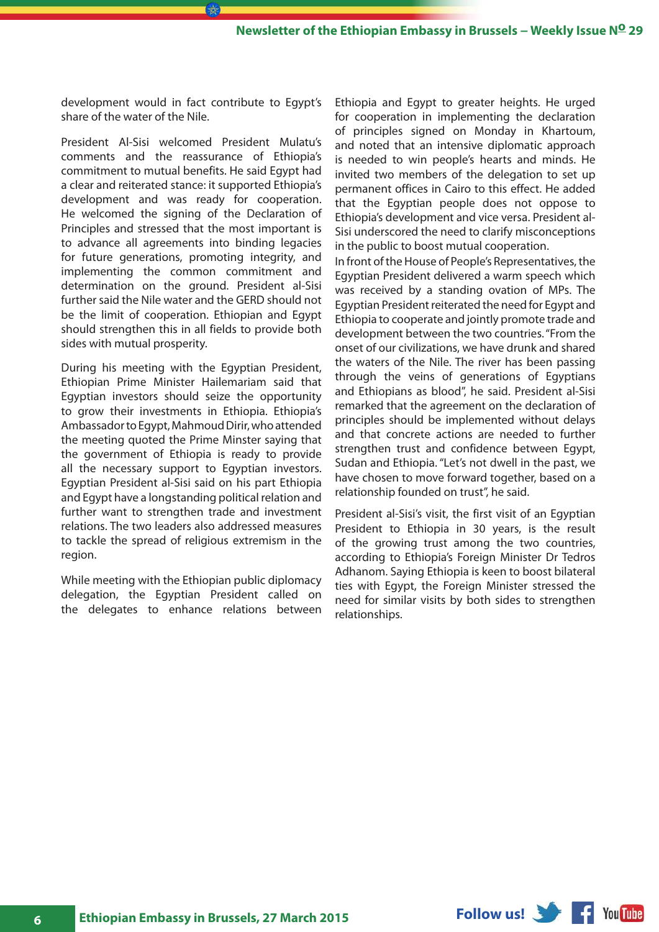development would in fact contribute to Egypt's share of the water of the Nile.

President Al-Sisi welcomed President Mulatu's comments and the reassurance of Ethiopia's commitment to mutual benefits. He said Egypt had a clear and reiterated stance: it supported Ethiopia's development and was ready for cooperation. He welcomed the signing of the Declaration of Principles and stressed that the most important is to advance all agreements into binding legacies for future generations, promoting integrity, and implementing the common commitment and determination on the ground. President al-Sisi further said the Nile water and the GERD should not be the limit of cooperation. Ethiopian and Egypt should strengthen this in all fields to provide both sides with mutual prosperity.

During his meeting with the Egyptian President, Ethiopian Prime Minister Hailemariam said that Egyptian investors should seize the opportunity to grow their investments in Ethiopia. Ethiopia's Ambassador to Egypt, Mahmoud Dirir, who attended the meeting quoted the Prime Minster saying that the government of Ethiopia is ready to provide all the necessary support to Egyptian investors. Egyptian President al-Sisi said on his part Ethiopia and Egypt have a longstanding political relation and further want to strengthen trade and investment relations. The two leaders also addressed measures to tackle the spread of religious extremism in the region.

While meeting with the Ethiopian public diplomacy delegation, the Egyptian President called on the delegates to enhance relations between

Ethiopia and Egypt to greater heights. He urged for cooperation in implementing the declaration of principles signed on Monday in Khartoum, and noted that an intensive diplomatic approach is needed to win people's hearts and minds. He invited two members of the delegation to set up permanent offices in Cairo to this effect. He added that the Egyptian people does not oppose to Ethiopia's development and vice versa. President al-Sisi underscored the need to clarify misconceptions in the public to boost mutual cooperation.

In front of the House of People's Representatives, the Egyptian President delivered a warm speech which was received by a standing ovation of MPs. The Egyptian President reiterated the need for Egypt and Ethiopia to cooperate and jointly promote trade and development between the two countries. "From the onset of our civilizations, we have drunk and shared the waters of the Nile. The river has been passing through the veins of generations of Egyptians and Ethiopians as blood", he said. President al-Sisi remarked that the agreement on the declaration of principles should be implemented without delays and that concrete actions are needed to further strengthen trust and confidence between Egypt, Sudan and Ethiopia. "Let's not dwell in the past, we have chosen to move forward together, based on a relationship founded on trust", he said.

President al-Sisi's visit, the first visit of an Egyptian President to Ethiopia in 30 years, is the result of the growing trust among the two countries, according to Ethiopia's Foreign Minister Dr Tedros Adhanom. Saying Ethiopia is keen to boost bilateral ties with Egypt, the Foreign Minister stressed the need for similar visits by both sides to strengthen relationships.

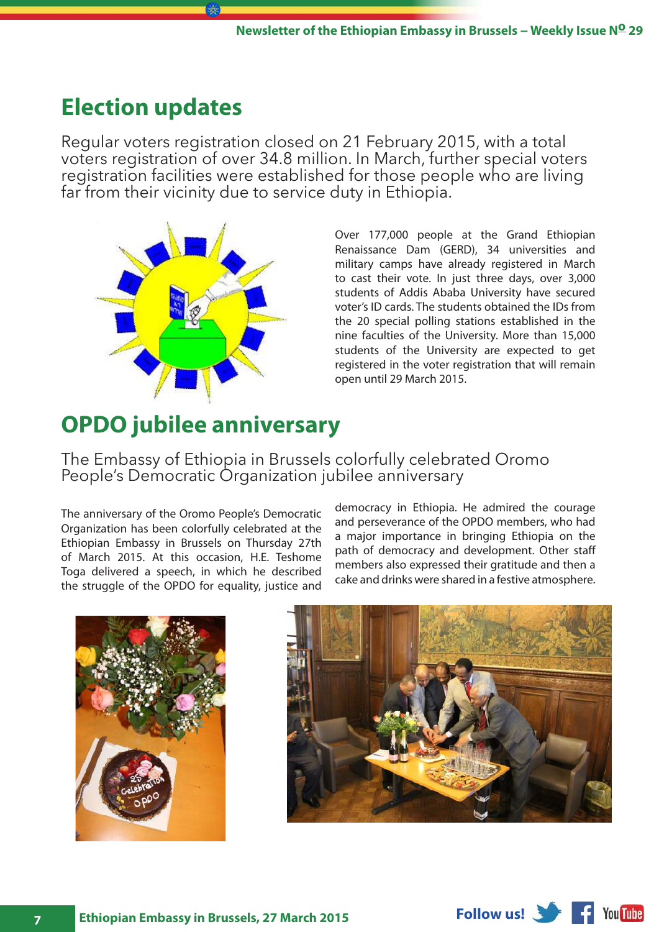## <span id="page-6-0"></span>**Election updates**

Regular voters registration closed on 21 February 2015, with a total voters registration of over 34.8 million. In March, further special voters registration facilities were established for those people who are living far from their vicinity due to service duty in Ethiopia.



Over 177,000 people at the Grand Ethiopian Renaissance Dam (GERD), 34 universities and military camps have already registered in March to cast their vote. In just three days, over 3,000 students of Addis Ababa University have secured voter's ID cards. The students obtained the IDs from the 20 special polling stations established in the nine faculties of the University. More than 15,000 students of the University are expected to get registered in the voter registration that will remain open until 29 March 2015.

## **OPDO jubilee anniversary**

The Embassy of Ethiopia in Brussels colorfully celebrated Oromo People's Democratic Organization jubilee anniversary

The anniversary of the Oromo People's Democratic Organization has been colorfully celebrated at the Ethiopian Embassy in Brussels on Thursday 27th of March 2015. At this occasion, H.E. Teshome Toga delivered a speech, in which he described the struggle of the OPDO for equality, justice and

democracy in Ethiopia. He admired the courage and perseverance of the OPDO members, who had a major importance in bringing Ethiopia on the path of democracy and development. Other staff members also expressed their gratitude and then a cake and drinks were shared in a festive atmosphere.





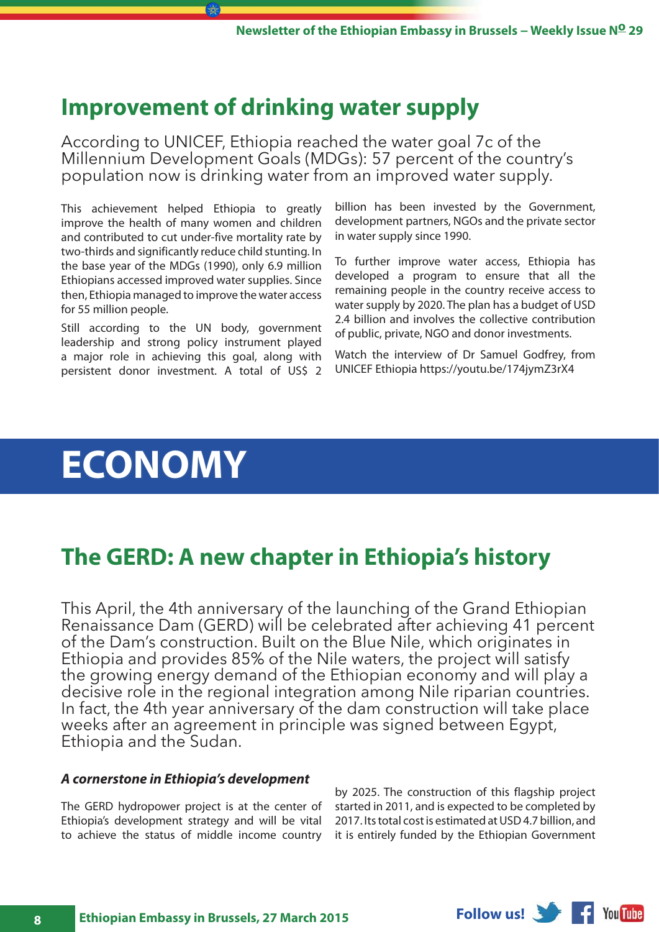### <span id="page-7-0"></span>**Improvement of drinking water supply**

According to UNICEF, Ethiopia reached the water goal 7c of the Millennium Development Goals (MDGs): 57 percent of the country's population now is drinking water from an improved water supply.

This achievement helped Ethiopia to greatly improve the health of many women and children and contributed to cut under-five mortality rate by two-thirds and significantly reduce child stunting. In the base year of the MDGs (1990), only 6.9 million Ethiopians accessed improved water supplies. Since then, Ethiopia managed to improve the water access for 55 million people.

Still according to the UN body, government leadership and strong policy instrument played a major role in achieving this goal, along with persistent donor investment. A total of US\$ 2 billion has been invested by the Government, development partners, NGOs and the private sector in water supply since 1990.

To further improve water access, Ethiopia has developed a program to ensure that all the remaining people in the country receive access to water supply by 2020. The plan has a budget of USD 2.4 billion and involves the collective contribution of public, private, NGO and donor investments.

Watch the interview of Dr Samuel Godfrey, from UNICEF Ethiopia https://youtu.be/174jymZ3rX4

## **ECONOMY**

## **The GERD: A new chapter in Ethiopia's history**

This April, the 4th anniversary of the launching of the Grand Ethiopian Renaissance Dam (GERD) will be celebrated after achieving 41 percent of the Dam's construction. Built on the Blue Nile, which originates in Ethiopia and provides 85% of the Nile waters, the project will satisfy the growing energy demand of the Ethiopian economy and will play a decisive role in the regional integration among Nile riparian countries. In fact, the 4th year anniversary of the dam construction will take place weeks after an agreement in principle was signed between Egypt, Ethiopia and the Sudan.

#### *A cornerstone in Ethiopia's development*

The GERD hydropower project is at the center of Ethiopia's development strategy and will be vital to achieve the status of middle income country

by 2025. The construction of this flagship project started in 2011, and is expected to be completed by 2017. Its total cost is estimated at USD 4.7 billion, and it is entirely funded by the Ethiopian Government

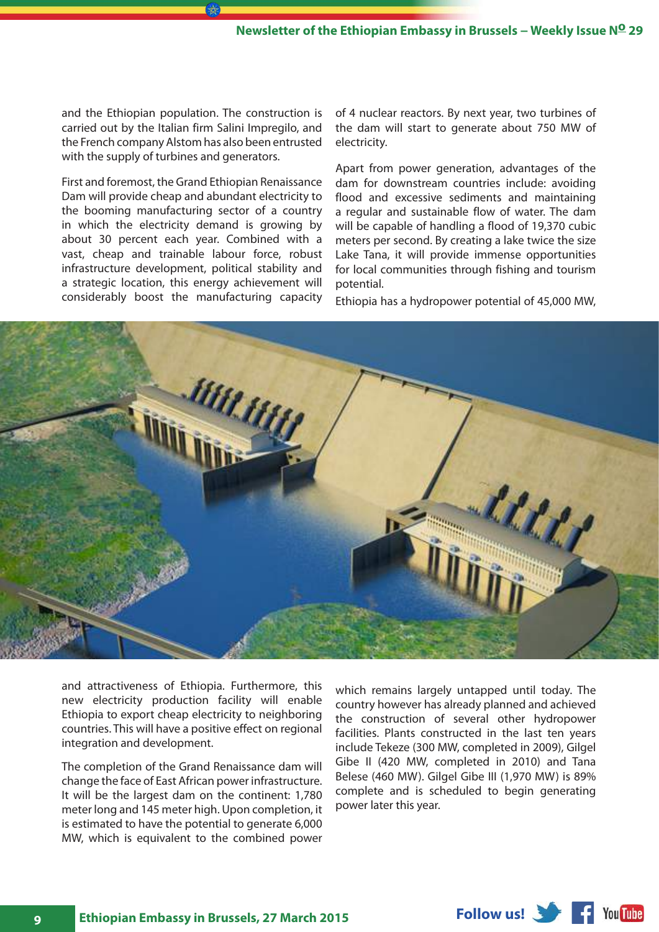and the Ethiopian population. The construction is carried out by the Italian firm Salini Impregilo, and the French company Alstom has also been entrusted with the supply of turbines and generators.

First and foremost, the Grand Ethiopian Renaissance Dam will provide cheap and abundant electricity to the booming manufacturing sector of a country in which the electricity demand is growing by about 30 percent each year. Combined with a vast, cheap and trainable labour force, robust infrastructure development, political stability and a strategic location, this energy achievement will considerably boost the manufacturing capacity of 4 nuclear reactors. By next year, two turbines of the dam will start to generate about 750 MW of electricity.

Apart from power generation, advantages of the dam for downstream countries include: avoiding flood and excessive sediments and maintaining a regular and sustainable flow of water. The dam will be capable of handling a flood of 19,370 cubic meters per second. By creating a lake twice the size Lake Tana, it will provide immense opportunities for local communities through fishing and tourism potential.

Ethiopia has a hydropower potential of 45,000 MW,



and attractiveness of Ethiopia. Furthermore, this new electricity production facility will enable Ethiopia to export cheap electricity to neighboring countries. This will have a positive effect on regional integration and development.

The completion of the Grand Renaissance dam will change the face of East African power infrastructure. It will be the largest dam on the continent: 1,780 meter long and 145 meter high. Upon completion, it is estimated to have the potential to generate 6,000 MW, which is equivalent to the combined power

which remains largely untapped until today. The country however has already planned and achieved the construction of several other hydropower facilities. Plants constructed in the last ten years include Tekeze (300 MW, completed in 2009), Gilgel Gibe II (420 MW, completed in 2010) and Tana Belese (460 MW). Gilgel Gibe III (1,970 MW) is 89% complete and is scheduled to begin generating power later this year.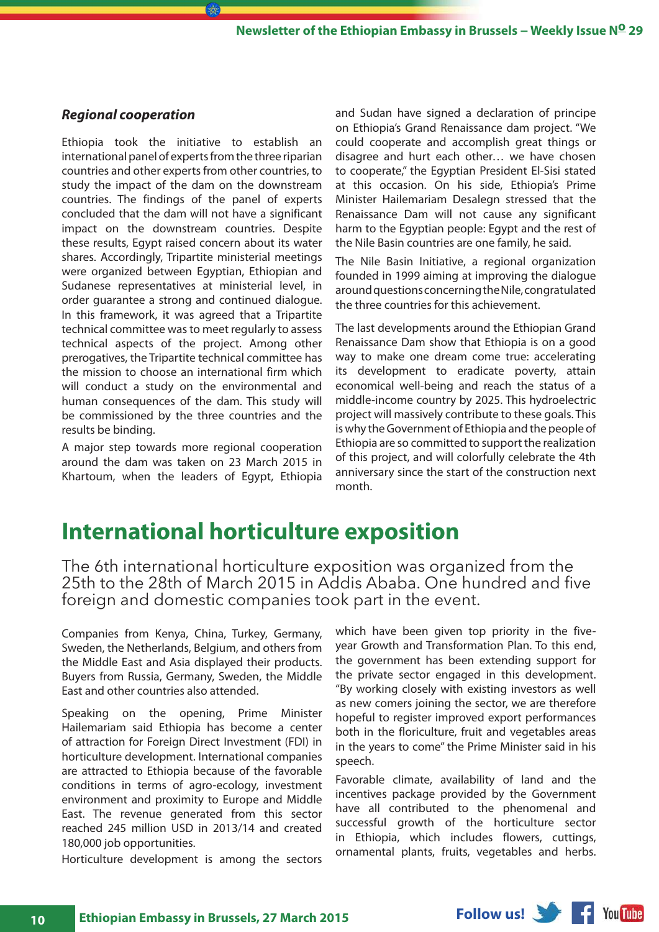#### <span id="page-9-0"></span>*Regional cooperation*

Ethiopia took the initiative to establish an international panel of experts from the three riparian countries and other experts from other countries, to study the impact of the dam on the downstream countries. The findings of the panel of experts concluded that the dam will not have a significant impact on the downstream countries. Despite these results, Egypt raised concern about its water shares. Accordingly, Tripartite ministerial meetings were organized between Egyptian, Ethiopian and Sudanese representatives at ministerial level, in order guarantee a strong and continued dialogue. In this framework, it was agreed that a Tripartite technical committee was to meet regularly to assess technical aspects of the project. Among other prerogatives, the Tripartite technical committee has the mission to choose an international firm which will conduct a study on the environmental and human consequences of the dam. This study will be commissioned by the three countries and the results be binding.

r A⊱

A major step towards more regional cooperation around the dam was taken on 23 March 2015 in Khartoum, when the leaders of Egypt, Ethiopia and Sudan have signed a declaration of principe on Ethiopia's Grand Renaissance dam project. "We could cooperate and accomplish great things or disagree and hurt each other… we have chosen to cooperate," the Egyptian President El-Sisi stated at this occasion. On his side, Ethiopia's Prime Minister Hailemariam Desalegn stressed that the Renaissance Dam will not cause any significant harm to the Egyptian people: Egypt and the rest of the Nile Basin countries are one family, he said.

The Nile Basin Initiative, a regional organization founded in 1999 aiming at improving the dialogue around questions concerning the Nile, congratulated the three countries for this achievement.

The last developments around the Ethiopian Grand Renaissance Dam show that Ethiopia is on a good way to make one dream come true: accelerating its development to eradicate poverty, attain economical well-being and reach the status of a middle-income country by 2025. This hydroelectric project will massively contribute to these goals. This is why the Government of Ethiopia and the people of Ethiopia are so committed to support the realization of this project, and will colorfully celebrate the 4th anniversary since the start of the construction next month.

### **International horticulture exposition**

The 6th international horticulture exposition was organized from the 25th to the 28th of March 2015 in Addis Ababa. One hundred and five foreign and domestic companies took part in the event.

Companies from Kenya, China, Turkey, Germany, Sweden, the Netherlands, Belgium, and others from the Middle East and Asia displayed their products. Buyers from Russia, Germany, Sweden, the Middle East and other countries also attended.

Speaking on the opening, Prime Minister Hailemariam said Ethiopia has become a center of attraction for Foreign Direct Investment (FDI) in horticulture development. International companies are attracted to Ethiopia because of the favorable conditions in terms of agro-ecology, investment environment and proximity to Europe and Middle East. The revenue generated from this sector reached 245 million USD in 2013/14 and created 180,000 job opportunities.

Horticulture development is among the sectors

which have been given top priority in the fiveyear Growth and Transformation Plan. To this end, the government has been extending support for the private sector engaged in this development. "By working closely with existing investors as well as new comers joining the sector, we are therefore hopeful to register improved export performances both in the floriculture, fruit and vegetables areas in the years to come" the Prime Minister said in his speech.

Favorable climate, availability of land and the incentives package provided by the Government have all contributed to the phenomenal and successful growth of the horticulture sector in Ethiopia, which includes flowers, cuttings, ornamental plants, fruits, vegetables and herbs.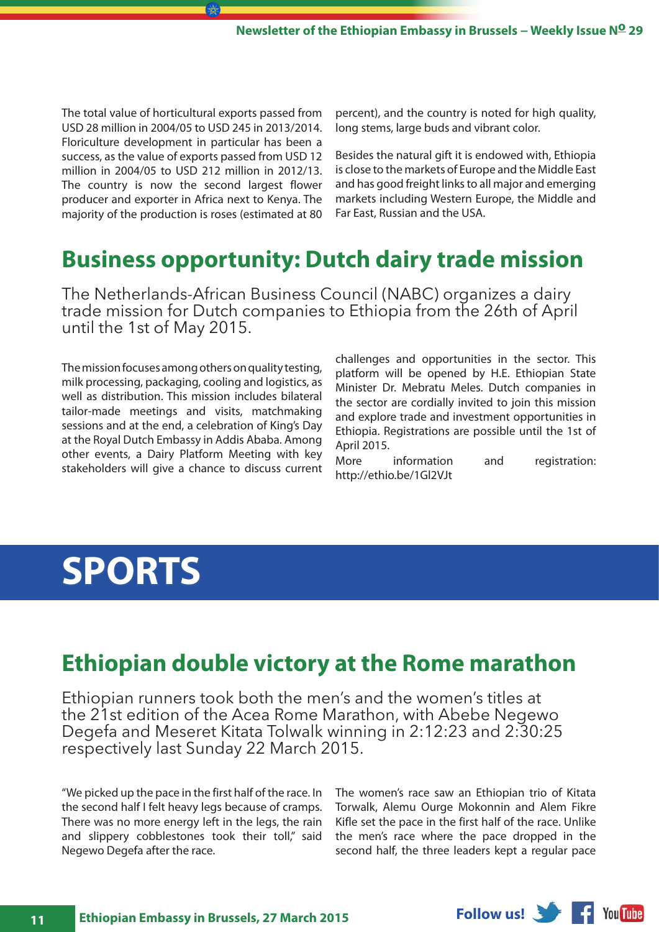<span id="page-10-0"></span>The total value of horticultural exports passed from USD 28 million in 2004/05 to USD 245 in 2013/2014. Floriculture development in particular has been a success, as the value of exports passed from USD 12 million in 2004/05 to USD 212 million in 2012/13. The country is now the second largest flower producer and exporter in Africa next to Kenya. The majority of the production is roses (estimated at 80 percent), and the country is noted for high quality, long stems, large buds and vibrant color.

Besides the natural gift it is endowed with, Ethiopia is close to the markets of Europe and the Middle East and has good freight links to all major and emerging markets including Western Europe, the Middle and Far East, Russian and the USA.

## **Business opportunity: Dutch dairy trade mission**

The Netherlands-African Business Council (NABC) organizes a dairy trade mission for Dutch companies to Ethiopia from the 26th of April until the 1st of May 2015.

The mission focuses among others on quality testing, milk processing, packaging, cooling and logistics, as well as distribution. This mission includes bilateral tailor-made meetings and visits, matchmaking sessions and at the end, a celebration of King's Day at the Royal Dutch Embassy in Addis Ababa. Among other events, a Dairy Platform Meeting with key stakeholders will give a chance to discuss current

challenges and opportunities in the sector. This platform will be opened by H.E. Ethiopian State Minister Dr. Mebratu Meles. Dutch companies in the sector are cordially invited to join this mission and explore trade and investment opportunities in Ethiopia. Registrations are possible until the 1st of April 2015.

More information and registration: http://ethio.be/1Gl2VJt

## **SPORTS**

### **Ethiopian double victory at the Rome marathon**

Ethiopian runners took both the men's and the women's titles at the 21st edition of the Acea Rome Marathon, with Abebe Negewo Degefa and Meseret Kitata Tolwalk winning in 2:12:23 and 2:30:25 respectively last Sunday 22 March 2015.

"We picked up the pace in the first half of the race. In the second half I felt heavy legs because of cramps. There was no more energy left in the legs, the rain and slippery cobblestones took their toll," said Negewo Degefa after the race.

The women's race saw an Ethiopian trio of Kitata Torwalk, Alemu Ourge Mokonnin and Alem Fikre Kifle set the pace in the first half of the race. Unlike the men's race where the pace dropped in the second half, the three leaders kept a regular pace